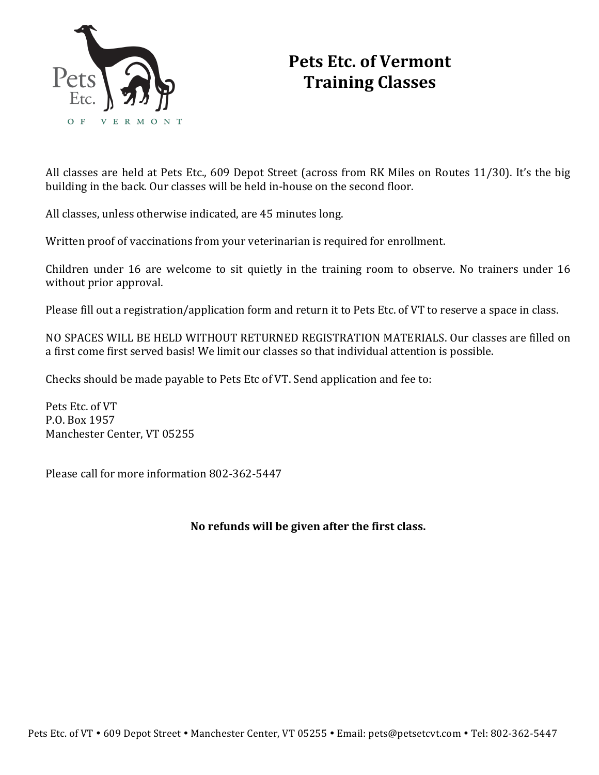

# **Pets Etc. of Vermont Training Classes**

All classes are held at Pets Etc., 609 Depot Street (across from RK Miles on Routes 11/30). It's the big building in the back. Our classes will be held in-house on the second floor.

All classes, unless otherwise indicated, are 45 minutes long.

Written proof of vaccinations from your veterinarian is required for enrollment.

Children under 16 are welcome to sit quietly in the training room to observe. No trainers under 16 without prior approval.

Please fill out a registration/application form and return it to Pets Etc. of VT to reserve a space in class.

NO SPACES WILL BE HELD WITHOUT RETURNED REGISTRATION MATERIALS. Our classes are filled on a first come first served basis! We limit our classes so that individual attention is possible.

Checks should be made payable to Pets Etc of VT. Send application and fee to:

Pets Etc. of VT P.O. Box 1957 Manchester Center, VT 05255

Please call for more information 802-362-5447

No refunds will be given after the first class.